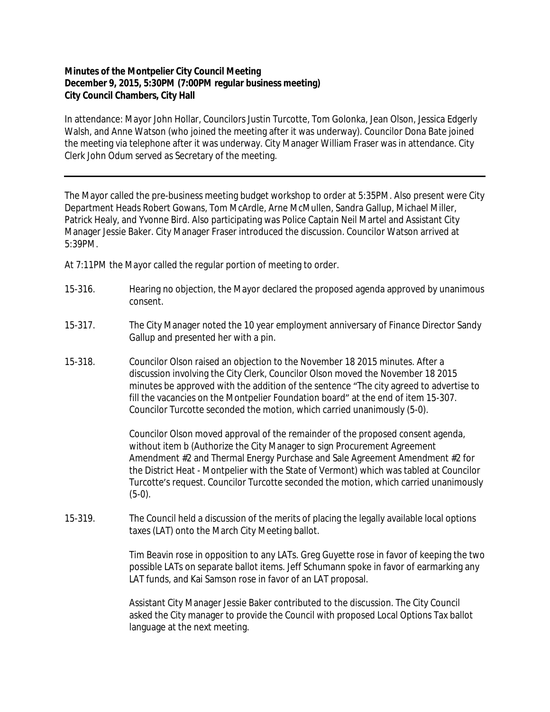## **Minutes of the Montpelier City Council Meeting December 9, 2015, 5:30PM (7:00PM regular business meeting) City Council Chambers, City Hall**

In attendance: Mayor John Hollar, Councilors Justin Turcotte, Tom Golonka, Jean Olson, Jessica Edgerly Walsh, and Anne Watson (who joined the meeting after it was underway). Councilor Dona Bate joined the meeting via telephone after it was underway. City Manager William Fraser was in attendance. City Clerk John Odum served as Secretary of the meeting.

The Mayor called the pre-business meeting budget workshop to order at 5:35PM. Also present were City Department Heads Robert Gowans, Tom McArdle, Arne McMullen, Sandra Gallup, Michael Miller, Patrick Healy, and Yvonne Bird. Also participating was Police Captain Neil Martel and Assistant City Manager Jessie Baker. City Manager Fraser introduced the discussion. Councilor Watson arrived at 5:39PM.

At 7:11PM the Mayor called the regular portion of meeting to order.

- 15-316. Hearing no objection, the Mayor declared the proposed agenda approved by unanimous consent.
- 15-317. The City Manager noted the 10 year employment anniversary of Finance Director Sandy Gallup and presented her with a pin.
- 15-318. Councilor Olson raised an objection to the November 18 2015 minutes. After a discussion involving the City Clerk, Councilor Olson moved the November 18 2015 minutes be approved with the addition of the sentence "The city agreed to advertise to fill the vacancies on the Montpelier Foundation board" at the end of item 15-307. Councilor Turcotte seconded the motion, which carried unanimously (5-0).

Councilor Olson moved approval of the remainder of the proposed consent agenda, without item b (Authorize the City Manager to sign Procurement Agreement Amendment #2 and Thermal Energy Purchase and Sale Agreement Amendment #2 for the District Heat - Montpelier with the State of Vermont) which was tabled at Councilor Turcotte's request. Councilor Turcotte seconded the motion, which carried unanimously (5-0).

15-319. The Council held a discussion of the merits of placing the legally available local options taxes (LAT) onto the March City Meeting ballot.

> Tim Beavin rose in opposition to any LATs. Greg Guyette rose in favor of keeping the two possible LATs on separate ballot items. Jeff Schumann spoke in favor of earmarking any LAT funds, and Kai Samson rose in favor of an LAT proposal.

Assistant City Manager Jessie Baker contributed to the discussion. The City Council asked the City manager to provide the Council with proposed Local Options Tax ballot language at the next meeting.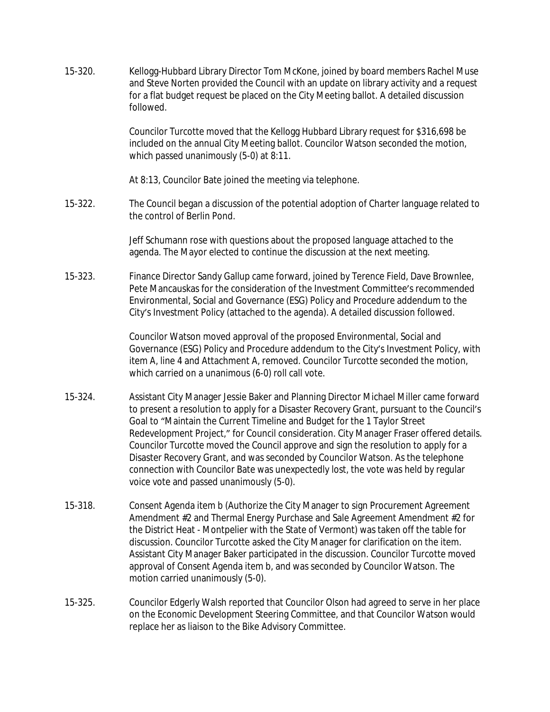- 15-320. Kellogg-Hubbard Library Director Tom McKone, joined by board members Rachel Muse and Steve Norten provided the Council with an update on library activity and a request for a flat budget request be placed on the City Meeting ballot. A detailed discussion followed. Councilor Turcotte moved that the Kellogg Hubbard Library request for \$316,698 be included on the annual City Meeting ballot. Councilor Watson seconded the motion, which passed unanimously (5-0) at 8:11. At 8:13, Councilor Bate joined the meeting via telephone. 15-322. The Council began a discussion of the potential adoption of Charter language related to the control of Berlin Pond. Jeff Schumann rose with questions about the proposed language attached to the agenda. The Mayor elected to continue the discussion at the next meeting. 15-323. Finance Director Sandy Gallup came forward, joined by Terence Field, Dave Brownlee, Pete Mancauskas for the consideration of the Investment Committee's recommended Environmental, Social and Governance (ESG) Policy and Procedure addendum to the City's Investment Policy (attached to the agenda). A detailed discussion followed. Councilor Watson moved approval of the proposed Environmental, Social and Governance (ESG) Policy and Procedure addendum to the City's Investment Policy, with item A, line 4 and Attachment A, removed. Councilor Turcotte seconded the motion, which carried on a unanimous (6-0) roll call vote. 15-324. Assistant City Manager Jessie Baker and Planning Director Michael Miller came forward to present a resolution to apply for a Disaster Recovery Grant, pursuant to the Council's
- Goal to "Maintain the Current Timeline and Budget for the 1 Taylor Street Redevelopment Project," for Council consideration. City Manager Fraser offered details. Councilor Turcotte moved the Council approve and sign the resolution to apply for a Disaster Recovery Grant, and was seconded by Councilor Watson. As the telephone connection with Councilor Bate was unexpectedly lost, the vote was held by regular voice vote and passed unanimously (5-0).
- 15-318. Consent Agenda item b (Authorize the City Manager to sign Procurement Agreement Amendment #2 and Thermal Energy Purchase and Sale Agreement Amendment #2 for the District Heat - Montpelier with the State of Vermont) was taken off the table for discussion. Councilor Turcotte asked the City Manager for clarification on the item. Assistant City Manager Baker participated in the discussion. Councilor Turcotte moved approval of Consent Agenda item b, and was seconded by Councilor Watson. The motion carried unanimously (5-0).
- 15-325. Councilor Edgerly Walsh reported that Councilor Olson had agreed to serve in her place on the Economic Development Steering Committee, and that Councilor Watson would replace her as liaison to the Bike Advisory Committee.